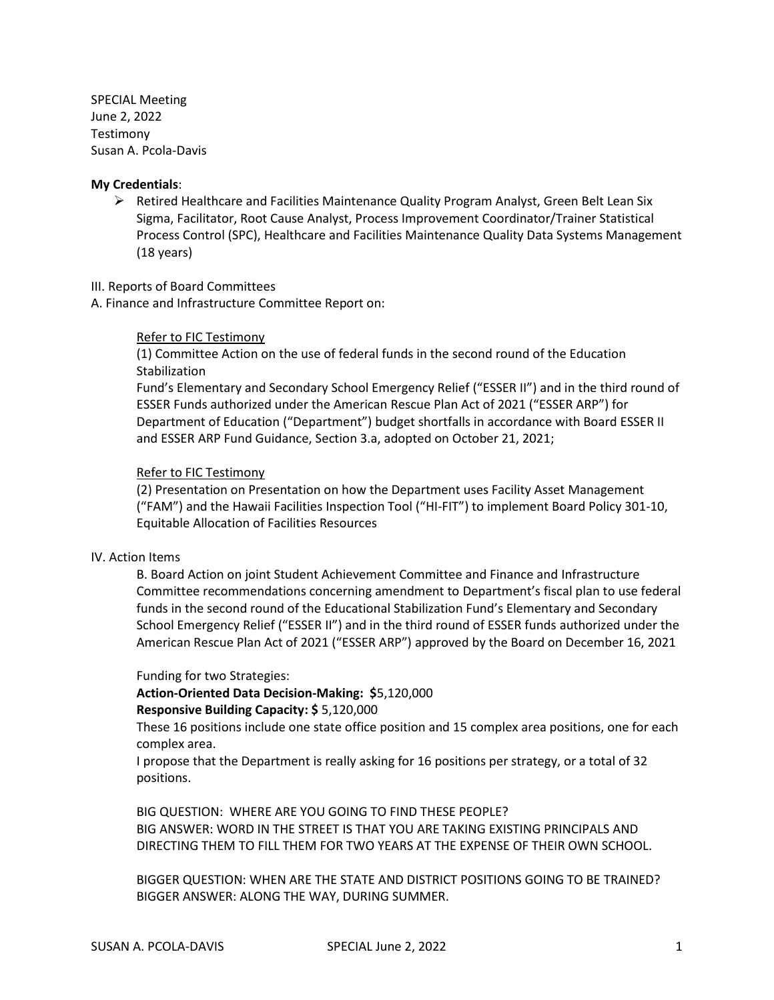SPECIAL Meeting June 2, 2022 Testimony Susan A. Pcola-Davis

#### **My Credentials**:

➢ Retired Healthcare and Facilities Maintenance Quality Program Analyst, Green Belt Lean Six Sigma, Facilitator, Root Cause Analyst, Process Improvement Coordinator/Trainer Statistical Process Control (SPC), Healthcare and Facilities Maintenance Quality Data Systems Management (18 years)

#### III. Reports of Board Committees

A. Finance and Infrastructure Committee Report on:

# Refer to FIC Testimony

(1) Committee Action on the use of federal funds in the second round of the Education **Stabilization** 

Fund's Elementary and Secondary School Emergency Relief ("ESSER II") and in the third round of ESSER Funds authorized under the American Rescue Plan Act of 2021 ("ESSER ARP") for Department of Education ("Department") budget shortfalls in accordance with Board ESSER II and ESSER ARP Fund Guidance, Section 3.a, adopted on October 21, 2021;

#### Refer to FIC Testimony

(2) Presentation on Presentation on how the Department uses Facility Asset Management ("FAM") and the Hawaii Facilities Inspection Tool ("HI-FIT") to implement Board Policy 301-10, Equitable Allocation of Facilities Resources

#### IV. Action Items

B. Board Action on joint Student Achievement Committee and Finance and Infrastructure Committee recommendations concerning amendment to Department's fiscal plan to use federal funds in the second round of the Educational Stabilization Fund's Elementary and Secondary School Emergency Relief ("ESSER II") and in the third round of ESSER funds authorized under the American Rescue Plan Act of 2021 ("ESSER ARP") approved by the Board on December 16, 2021

#### Funding for two Strategies:

# **Action-Oriented Data Decision-Making: \$**5,120,000

# **Responsive Building Capacity: \$** 5,120,000

These 16 positions include one state office position and 15 complex area positions, one for each complex area.

I propose that the Department is really asking for 16 positions per strategy, or a total of 32 positions.

BIG QUESTION: WHERE ARE YOU GOING TO FIND THESE PEOPLE? BIG ANSWER: WORD IN THE STREET IS THAT YOU ARE TAKING EXISTING PRINCIPALS AND DIRECTING THEM TO FILL THEM FOR TWO YEARS AT THE EXPENSE OF THEIR OWN SCHOOL.

BIGGER QUESTION: WHEN ARE THE STATE AND DISTRICT POSITIONS GOING TO BE TRAINED? BIGGER ANSWER: ALONG THE WAY, DURING SUMMER.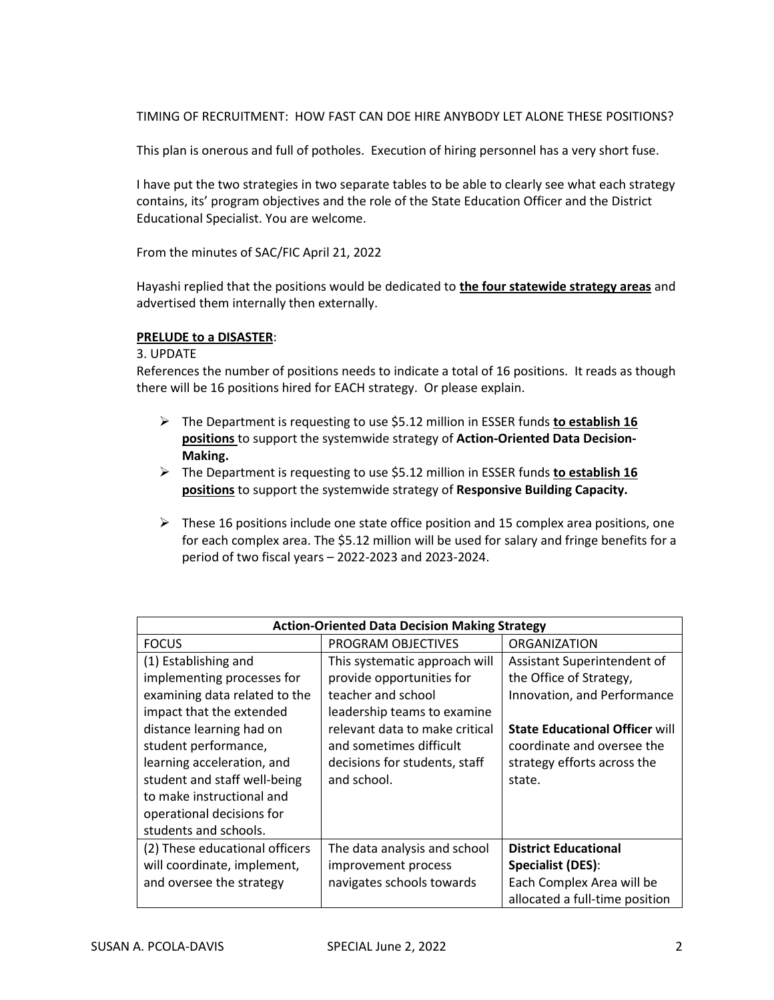TIMING OF RECRUITMENT: HOW FAST CAN DOE HIRE ANYBODY LET ALONE THESE POSITIONS?

This plan is onerous and full of potholes. Execution of hiring personnel has a very short fuse.

I have put the two strategies in two separate tables to be able to clearly see what each strategy contains, its' program objectives and the role of the State Education Officer and the District Educational Specialist. You are welcome.

From the minutes of SAC/FIC April 21, 2022

Hayashi replied that the positions would be dedicated to **the four statewide strategy areas** and advertised them internally then externally.

#### **PRELUDE to a DISASTER**:

3. UPDATE

References the number of positions needs to indicate a total of 16 positions. It reads as though there will be 16 positions hired for EACH strategy. Or please explain.

- ➢ The Department is requesting to use \$5.12 million in ESSER funds **to establish 16 positions** to support the systemwide strategy of **Action-Oriented Data Decision-Making.**
- ➢ The Department is requesting to use \$5.12 million in ESSER funds **to establish 16 positions** to support the systemwide strategy of **Responsive Building Capacity.**
- $\triangleright$  These 16 positions include one state office position and 15 complex area positions, one for each complex area. The \$5.12 million will be used for salary and fringe benefits for a period of two fiscal years – 2022-2023 and 2023-2024.

| <b>Action-Oriented Data Decision Making Strategy</b> |                                |                                       |  |  |
|------------------------------------------------------|--------------------------------|---------------------------------------|--|--|
| <b>FOCUS</b>                                         | PROGRAM OBJECTIVES             | <b>ORGANIZATION</b>                   |  |  |
| (1) Establishing and                                 | This systematic approach will  | Assistant Superintendent of           |  |  |
| implementing processes for                           | provide opportunities for      | the Office of Strategy,               |  |  |
| examining data related to the                        | teacher and school             | Innovation, and Performance           |  |  |
| impact that the extended                             | leadership teams to examine    |                                       |  |  |
| distance learning had on                             | relevant data to make critical | <b>State Educational Officer will</b> |  |  |
| student performance,                                 | and sometimes difficult        | coordinate and oversee the            |  |  |
| learning acceleration, and                           | decisions for students, staff  | strategy efforts across the           |  |  |
| student and staff well-being                         | and school.                    | state.                                |  |  |
| to make instructional and                            |                                |                                       |  |  |
| operational decisions for                            |                                |                                       |  |  |
| students and schools.                                |                                |                                       |  |  |
| (2) These educational officers                       | The data analysis and school   | <b>District Educational</b>           |  |  |
| will coordinate, implement,                          | improvement process            | Specialist (DES):                     |  |  |
| and oversee the strategy                             | navigates schools towards      | Each Complex Area will be             |  |  |
|                                                      |                                | allocated a full-time position        |  |  |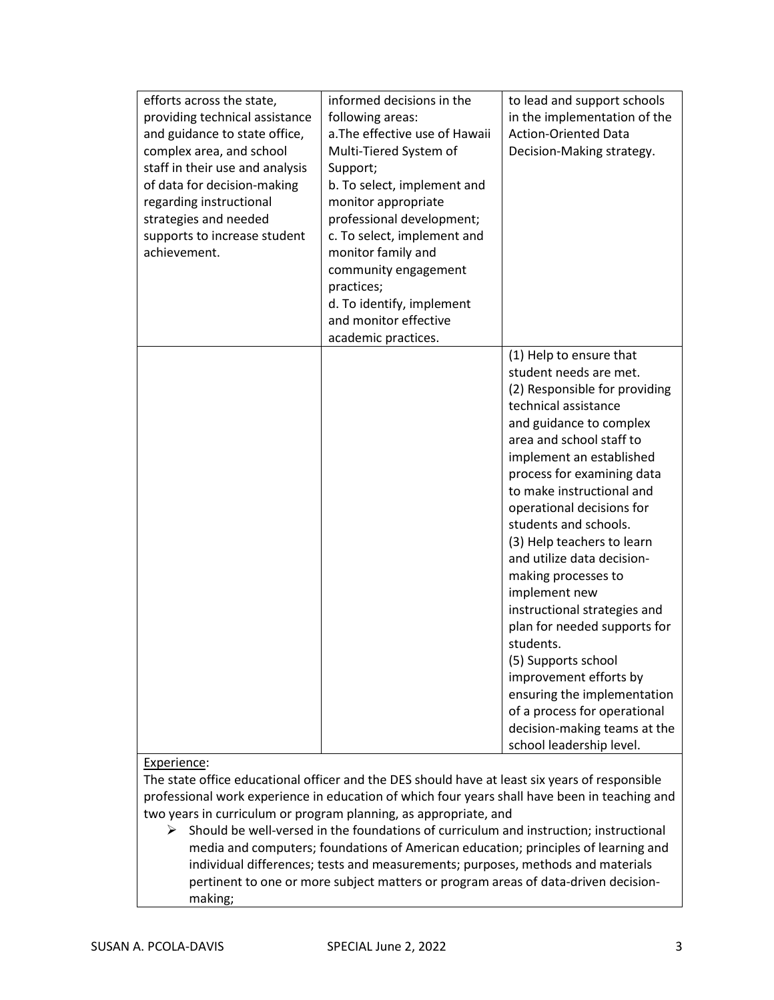| efforts across the state,<br>providing technical assistance<br>and guidance to state office,<br>complex area, and school<br>staff in their use and analysis<br>of data for decision-making<br>regarding instructional<br>strategies and needed<br>supports to increase student<br>achievement. | informed decisions in the<br>following areas:<br>a. The effective use of Hawaii<br>Multi-Tiered System of<br>Support;<br>b. To select, implement and<br>monitor appropriate<br>professional development;<br>c. To select, implement and<br>monitor family and<br>community engagement<br>practices;<br>d. To identify, implement<br>and monitor effective<br>academic practices. | to lead and support schools<br>in the implementation of the<br><b>Action-Oriented Data</b><br>Decision-Making strategy.                                                                                                                                                                                                                                                                                                                                                                                                                                                                                                                                                     |
|------------------------------------------------------------------------------------------------------------------------------------------------------------------------------------------------------------------------------------------------------------------------------------------------|----------------------------------------------------------------------------------------------------------------------------------------------------------------------------------------------------------------------------------------------------------------------------------------------------------------------------------------------------------------------------------|-----------------------------------------------------------------------------------------------------------------------------------------------------------------------------------------------------------------------------------------------------------------------------------------------------------------------------------------------------------------------------------------------------------------------------------------------------------------------------------------------------------------------------------------------------------------------------------------------------------------------------------------------------------------------------|
|                                                                                                                                                                                                                                                                                                |                                                                                                                                                                                                                                                                                                                                                                                  | (1) Help to ensure that<br>student needs are met.<br>(2) Responsible for providing<br>technical assistance<br>and guidance to complex<br>area and school staff to<br>implement an established<br>process for examining data<br>to make instructional and<br>operational decisions for<br>students and schools.<br>(3) Help teachers to learn<br>and utilize data decision-<br>making processes to<br>implement new<br>instructional strategies and<br>plan for needed supports for<br>students.<br>(5) Supports school<br>improvement efforts by<br>ensuring the implementation<br>of a process for operational<br>decision-making teams at the<br>school leadership level. |

#### Experience:

The state office educational officer and the DES should have at least six years of responsible professional work experience in education of which four years shall have been in teaching and two years in curriculum or program planning, as appropriate, and

 $\triangleright$  Should be well-versed in the foundations of curriculum and instruction; instructional media and computers; foundations of American education; principles of learning and individual differences; tests and measurements; purposes, methods and materials pertinent to one or more subject matters or program areas of data-driven decisionmaking;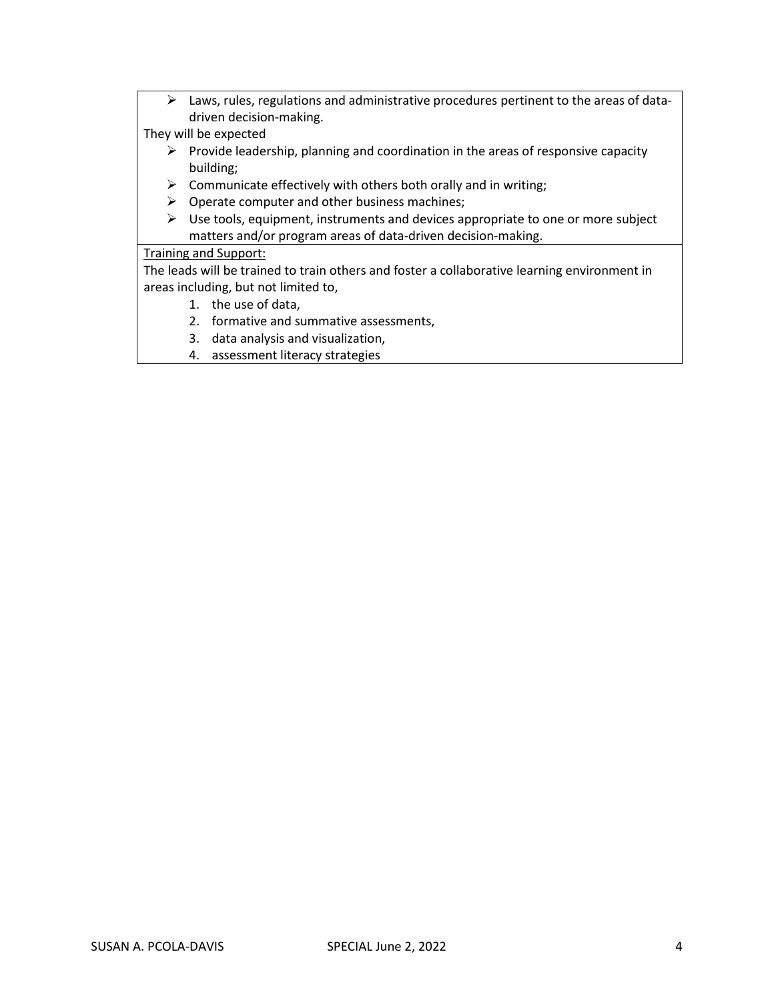➢ Laws, rules, regulations and administrative procedures pertinent to the areas of datadriven decision-making.

They will be expected

- $\triangleright$  Provide leadership, planning and coordination in the areas of responsive capacity building;
- $\triangleright$  Communicate effectively with others both orally and in writing;
- $\triangleright$  Operate computer and other business machines;
- $\triangleright$  Use tools, equipment, instruments and devices appropriate to one or more subject matters and/or program areas of data-driven decision-making.

Training and Support:

The leads will be trained to train others and foster a collaborative learning environment in areas including, but not limited to,

- 1. the use of data,
- 2. formative and summative assessments,
- 3. data analysis and visualization,
- 4. assessment literacy strategies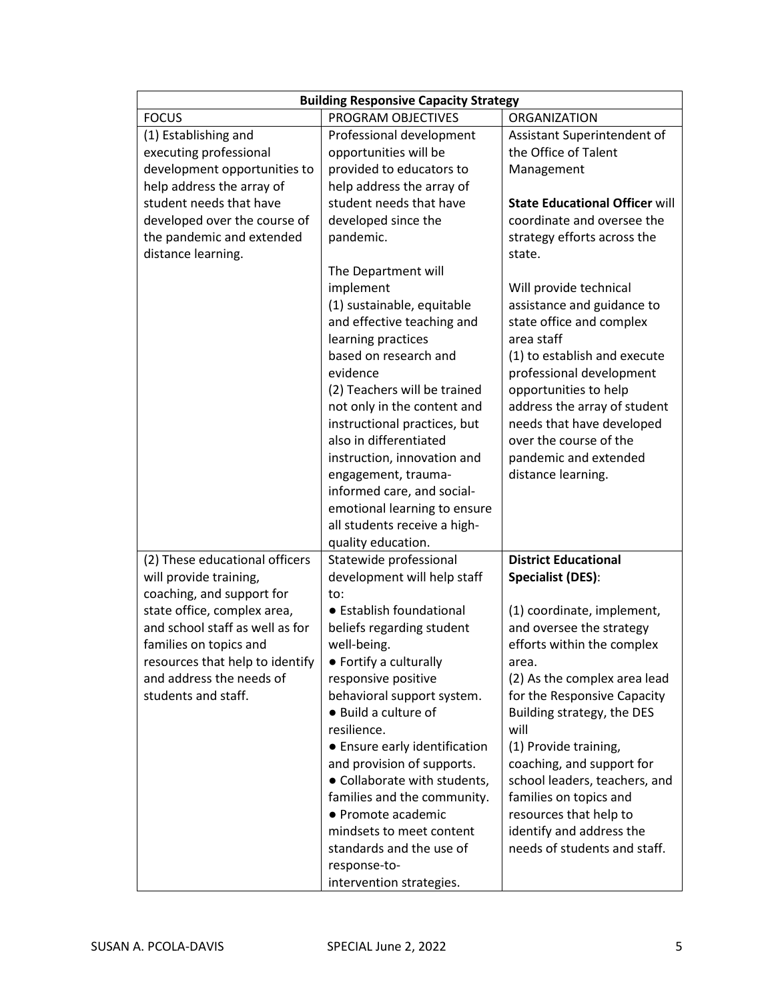| <b>Building Responsive Capacity Strategy</b>                   |                                       |                                       |  |
|----------------------------------------------------------------|---------------------------------------|---------------------------------------|--|
| <b>FOCUS</b>                                                   | PROGRAM OBJECTIVES                    | ORGANIZATION                          |  |
| (1) Establishing and                                           | Professional development              | Assistant Superintendent of           |  |
| executing professional                                         | opportunities will be                 | the Office of Talent                  |  |
| development opportunities to                                   | provided to educators to              | Management                            |  |
| help address the array of                                      | help address the array of             |                                       |  |
| student needs that have                                        | student needs that have               | <b>State Educational Officer will</b> |  |
| developed over the course of                                   | developed since the                   | coordinate and oversee the            |  |
| the pandemic and extended                                      | pandemic.                             | strategy efforts across the           |  |
| distance learning.                                             |                                       | state.                                |  |
|                                                                | The Department will                   |                                       |  |
|                                                                | implement                             | Will provide technical                |  |
|                                                                | (1) sustainable, equitable            | assistance and guidance to            |  |
|                                                                | and effective teaching and            | state office and complex              |  |
|                                                                | learning practices                    | area staff                            |  |
|                                                                | based on research and                 | (1) to establish and execute          |  |
|                                                                | evidence                              | professional development              |  |
|                                                                | (2) Teachers will be trained          | opportunities to help                 |  |
|                                                                | not only in the content and           | address the array of student          |  |
|                                                                | instructional practices, but          | needs that have developed             |  |
|                                                                | also in differentiated                | over the course of the                |  |
|                                                                | instruction, innovation and           | pandemic and extended                 |  |
|                                                                | engagement, trauma-                   | distance learning.                    |  |
|                                                                | informed care, and social-            |                                       |  |
|                                                                | emotional learning to ensure          |                                       |  |
|                                                                | all students receive a high-          |                                       |  |
|                                                                | quality education.                    |                                       |  |
| (2) These educational officers                                 | Statewide professional                | <b>District Educational</b>           |  |
| will provide training,                                         | development will help staff           | <b>Specialist (DES):</b>              |  |
| coaching, and support for                                      | to:<br>• Establish foundational       |                                       |  |
| state office, complex area,<br>and school staff as well as for |                                       | (1) coordinate, implement,            |  |
| families on topics and                                         | beliefs regarding student             | and oversee the strategy              |  |
|                                                                | well-being.<br>• Fortify a culturally | efforts within the complex            |  |
| resources that help to identify<br>and address the needs of    | responsive positive                   | area.<br>(2) As the complex area lead |  |
| students and staff.                                            | behavioral support system.            | for the Responsive Capacity           |  |
|                                                                | • Build a culture of                  | Building strategy, the DES            |  |
|                                                                | resilience.                           | will                                  |  |
|                                                                | • Ensure early identification         | (1) Provide training,                 |  |
|                                                                | and provision of supports.            | coaching, and support for             |  |
|                                                                | • Collaborate with students,          | school leaders, teachers, and         |  |
|                                                                | families and the community.           | families on topics and                |  |
|                                                                | • Promote academic                    | resources that help to                |  |
|                                                                | mindsets to meet content              | identify and address the              |  |
|                                                                | standards and the use of              | needs of students and staff.          |  |
|                                                                | response-to-                          |                                       |  |
|                                                                | intervention strategies.              |                                       |  |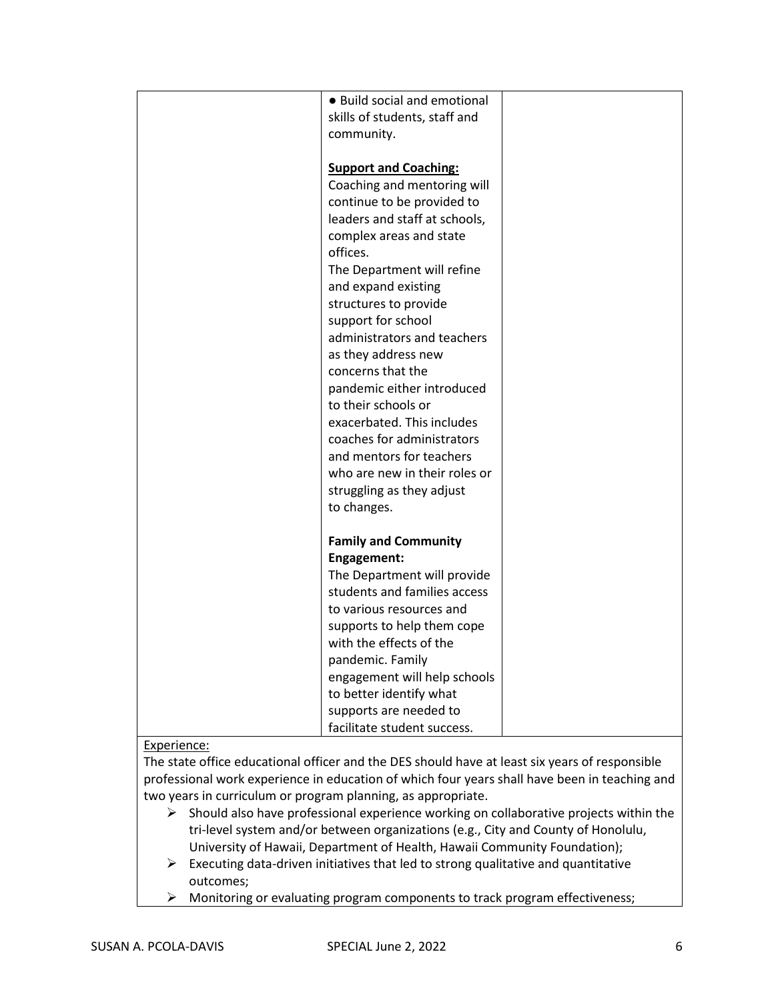| • Build social and emotional  |  |
|-------------------------------|--|
| skills of students, staff and |  |
|                               |  |
| community.                    |  |
|                               |  |
| <b>Support and Coaching:</b>  |  |
| Coaching and mentoring will   |  |
| continue to be provided to    |  |
| leaders and staff at schools, |  |
| complex areas and state       |  |
| offices.                      |  |
| The Department will refine    |  |
| and expand existing           |  |
| structures to provide         |  |
| support for school            |  |
| administrators and teachers   |  |
| as they address new           |  |
| concerns that the             |  |
| pandemic either introduced    |  |
| to their schools or           |  |
| exacerbated. This includes    |  |
| coaches for administrators    |  |
| and mentors for teachers      |  |
| who are new in their roles or |  |
| struggling as they adjust     |  |
| to changes.                   |  |
|                               |  |
| <b>Family and Community</b>   |  |
| Engagement:                   |  |
| The Department will provide   |  |
| students and families access  |  |
| to various resources and      |  |
| supports to help them cope    |  |
| with the effects of the       |  |
| pandemic. Family              |  |
| engagement will help schools  |  |
| to better identify what       |  |
| supports are needed to        |  |
| facilitate student success.   |  |

# Experience:

The state office educational officer and the DES should have at least six years of responsible professional work experience in education of which four years shall have been in teaching and two years in curriculum or program planning, as appropriate.

- $\triangleright$  Should also have professional experience working on collaborative projects within the tri-level system and/or between organizations (e.g., City and County of Honolulu, University of Hawaii, Department of Health, Hawaii Community Foundation);
- $\triangleright$  Executing data-driven initiatives that led to strong qualitative and quantitative outcomes;
- ➢ Monitoring or evaluating program components to track program effectiveness;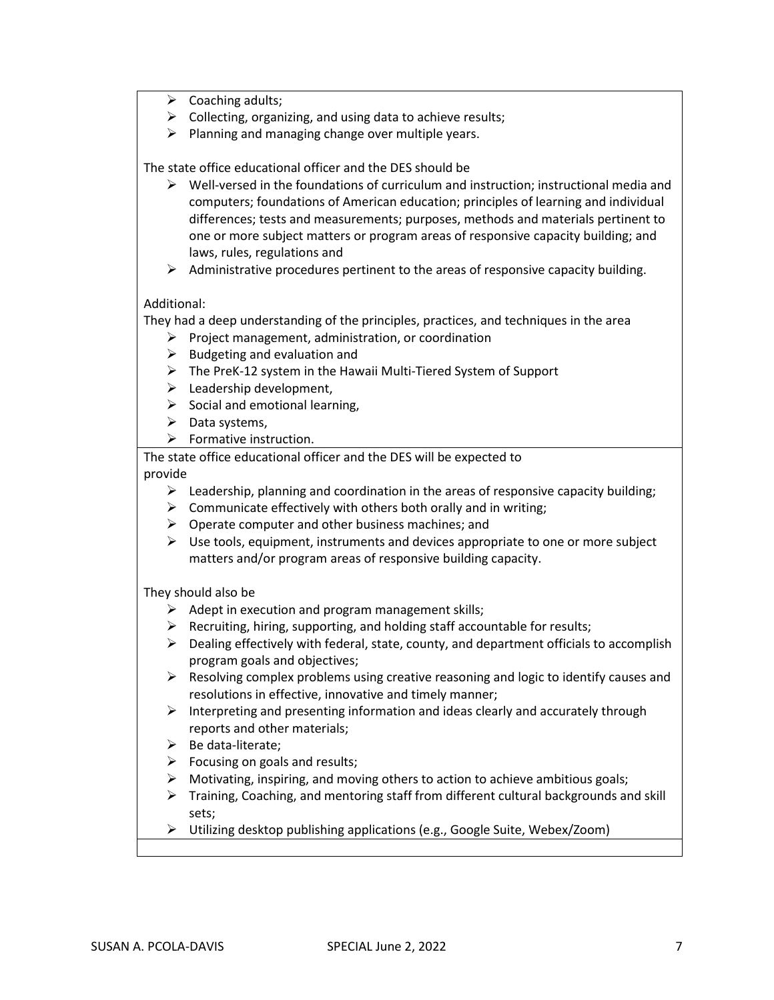- $\triangleright$  Coaching adults;
- $\triangleright$  Collecting, organizing, and using data to achieve results;
- $\triangleright$  Planning and managing change over multiple years.

The state office educational officer and the DES should be

- $\triangleright$  Well-versed in the foundations of curriculum and instruction; instructional media and computers; foundations of American education; principles of learning and individual differences; tests and measurements; purposes, methods and materials pertinent to one or more subject matters or program areas of responsive capacity building; and laws, rules, regulations and
- $\triangleright$  Administrative procedures pertinent to the areas of responsive capacity building.

#### Additional:

They had a deep understanding of the principles, practices, and techniques in the area

- ➢ Project management, administration, or coordination
- $\triangleright$  Budgeting and evaluation and
- $\triangleright$  The PreK-12 system in the Hawaii Multi-Tiered System of Support
- $\blacktriangleright$  Leadership development,
- $\triangleright$  Social and emotional learning,
- $\triangleright$  Data systems,
- $\triangleright$  Formative instruction.

The state office educational officer and the DES will be expected to provide

- $\triangleright$  Leadership, planning and coordination in the areas of responsive capacity building;
- $\triangleright$  Communicate effectively with others both orally and in writing;
- $\triangleright$  Operate computer and other business machines; and
- $\triangleright$  Use tools, equipment, instruments and devices appropriate to one or more subject matters and/or program areas of responsive building capacity.

They should also be

- $\triangleright$  Adept in execution and program management skills;
- $\triangleright$  Recruiting, hiring, supporting, and holding staff accountable for results;
- $\triangleright$  Dealing effectively with federal, state, county, and department officials to accomplish program goals and objectives;
- $\triangleright$  Resolving complex problems using creative reasoning and logic to identify causes and resolutions in effective, innovative and timely manner;
- $\triangleright$  Interpreting and presenting information and ideas clearly and accurately through reports and other materials;
- $\triangleright$  Be data-literate;
- $\triangleright$  Focusing on goals and results;
- $\triangleright$  Motivating, inspiring, and moving others to action to achieve ambitious goals;
- $\triangleright$  Training, Coaching, and mentoring staff from different cultural backgrounds and skill sets;
- ➢ Utilizing desktop publishing applications (e.g., Google Suite, Webex/Zoom)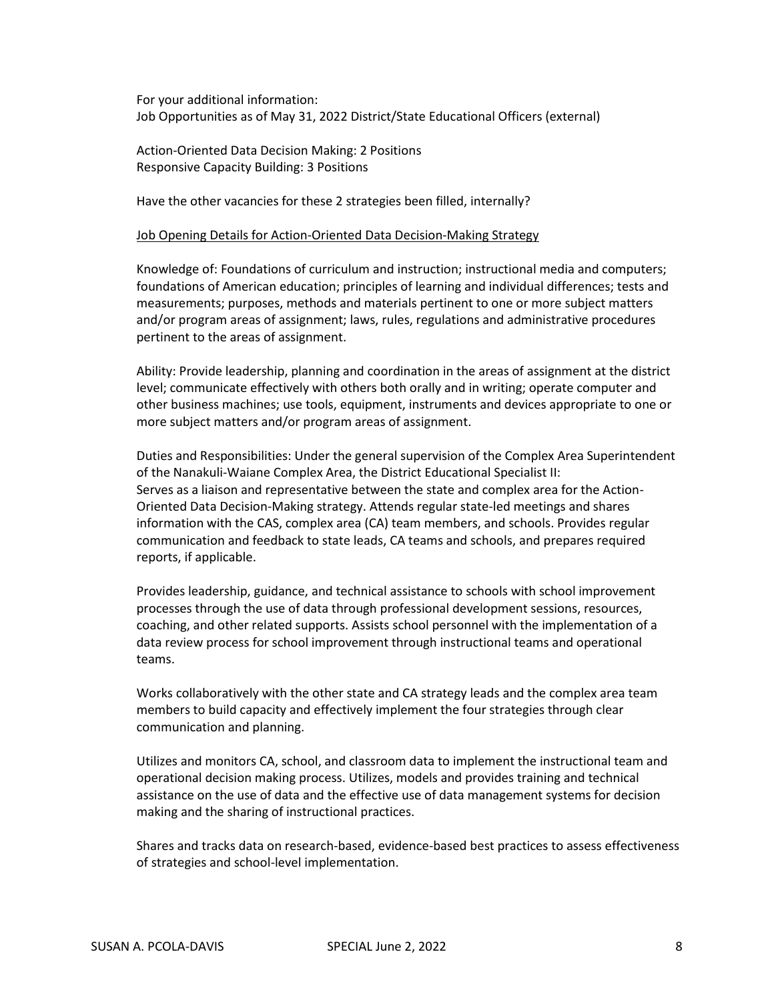For your additional information: Job Opportunities as of May 31, 2022 District/State Educational Officers (external)

Action-Oriented Data Decision Making: 2 Positions Responsive Capacity Building: 3 Positions

Have the other vacancies for these 2 strategies been filled, internally?

#### Job Opening Details for Action-Oriented Data Decision-Making Strategy

Knowledge of: Foundations of curriculum and instruction; instructional media and computers; foundations of American education; principles of learning and individual differences; tests and measurements; purposes, methods and materials pertinent to one or more subject matters and/or program areas of assignment; laws, rules, regulations and administrative procedures pertinent to the areas of assignment.

Ability: Provide leadership, planning and coordination in the areas of assignment at the district level; communicate effectively with others both orally and in writing; operate computer and other business machines; use tools, equipment, instruments and devices appropriate to one or more subject matters and/or program areas of assignment.

Duties and Responsibilities: Under the general supervision of the Complex Area Superintendent of the Nanakuli-Waiane Complex Area, the District Educational Specialist II: Serves as a liaison and representative between the state and complex area for the Action-Oriented Data Decision-Making strategy. Attends regular state-led meetings and shares information with the CAS, complex area (CA) team members, and schools. Provides regular communication and feedback to state leads, CA teams and schools, and prepares required reports, if applicable.

Provides leadership, guidance, and technical assistance to schools with school improvement processes through the use of data through professional development sessions, resources, coaching, and other related supports. Assists school personnel with the implementation of a data review process for school improvement through instructional teams and operational teams.

Works collaboratively with the other state and CA strategy leads and the complex area team members to build capacity and effectively implement the four strategies through clear communication and planning.

Utilizes and monitors CA, school, and classroom data to implement the instructional team and operational decision making process. Utilizes, models and provides training and technical assistance on the use of data and the effective use of data management systems for decision making and the sharing of instructional practices.

Shares and tracks data on research-based, evidence-based best practices to assess effectiveness of strategies and school-level implementation.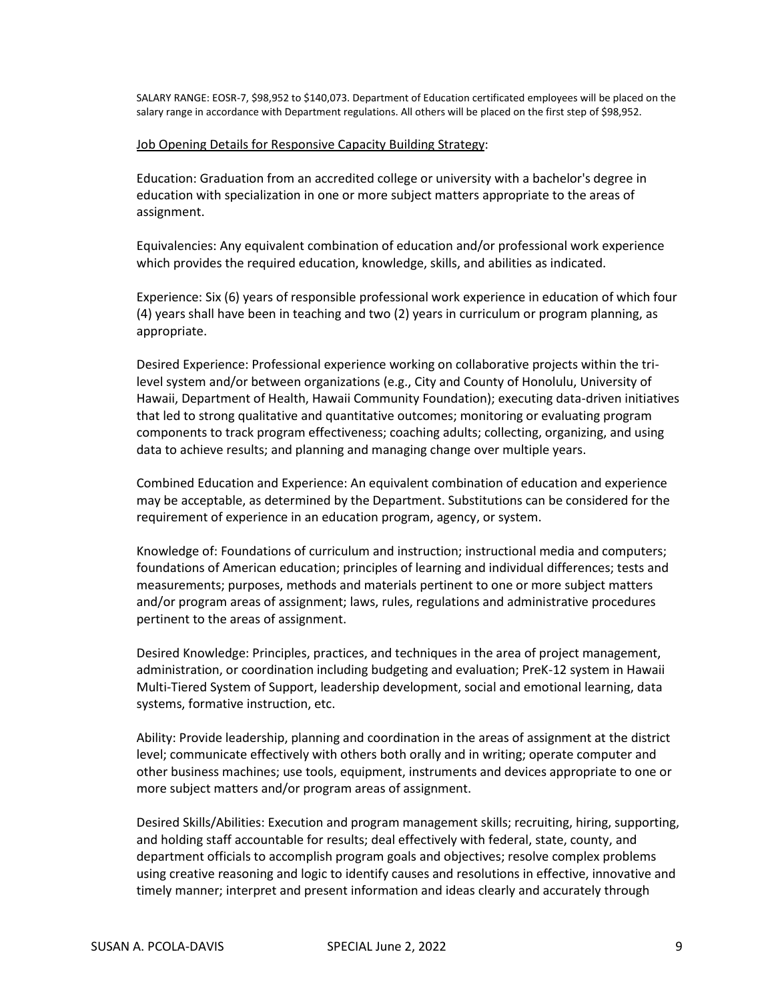SALARY RANGE: EOSR-7, \$98,952 to \$140,073. Department of Education certificated employees will be placed on the salary range in accordance with Department regulations. All others will be placed on the first step of \$98,952.

#### Job Opening Details for Responsive Capacity Building Strategy:

Education: Graduation from an accredited college or university with a bachelor's degree in education with specialization in one or more subject matters appropriate to the areas of assignment.

Equivalencies: Any equivalent combination of education and/or professional work experience which provides the required education, knowledge, skills, and abilities as indicated.

Experience: Six (6) years of responsible professional work experience in education of which four (4) years shall have been in teaching and two (2) years in curriculum or program planning, as appropriate.

Desired Experience: Professional experience working on collaborative projects within the trilevel system and/or between organizations (e.g., City and County of Honolulu, University of Hawaii, Department of Health, Hawaii Community Foundation); executing data-driven initiatives that led to strong qualitative and quantitative outcomes; monitoring or evaluating program components to track program effectiveness; coaching adults; collecting, organizing, and using data to achieve results; and planning and managing change over multiple years.

Combined Education and Experience: An equivalent combination of education and experience may be acceptable, as determined by the Department. Substitutions can be considered for the requirement of experience in an education program, agency, or system.

Knowledge of: Foundations of curriculum and instruction; instructional media and computers; foundations of American education; principles of learning and individual differences; tests and measurements; purposes, methods and materials pertinent to one or more subject matters and/or program areas of assignment; laws, rules, regulations and administrative procedures pertinent to the areas of assignment.

Desired Knowledge: Principles, practices, and techniques in the area of project management, administration, or coordination including budgeting and evaluation; PreK-12 system in Hawaii Multi-Tiered System of Support, leadership development, social and emotional learning, data systems, formative instruction, etc.

Ability: Provide leadership, planning and coordination in the areas of assignment at the district level; communicate effectively with others both orally and in writing; operate computer and other business machines; use tools, equipment, instruments and devices appropriate to one or more subject matters and/or program areas of assignment.

Desired Skills/Abilities: Execution and program management skills; recruiting, hiring, supporting, and holding staff accountable for results; deal effectively with federal, state, county, and department officials to accomplish program goals and objectives; resolve complex problems using creative reasoning and logic to identify causes and resolutions in effective, innovative and timely manner; interpret and present information and ideas clearly and accurately through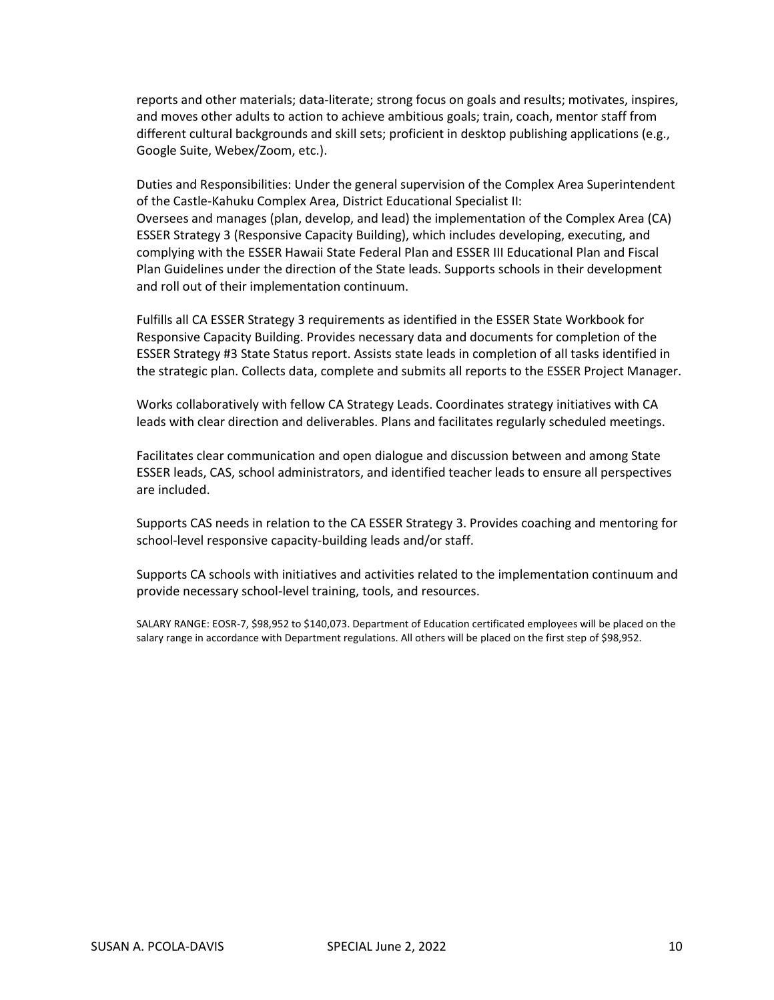reports and other materials; data-literate; strong focus on goals and results; motivates, inspires, and moves other adults to action to achieve ambitious goals; train, coach, mentor staff from different cultural backgrounds and skill sets; proficient in desktop publishing applications (e.g., Google Suite, Webex/Zoom, etc.).

Duties and Responsibilities: Under the general supervision of the Complex Area Superintendent of the Castle-Kahuku Complex Area, District Educational Specialist II: Oversees and manages (plan, develop, and lead) the implementation of the Complex Area (CA) ESSER Strategy 3 (Responsive Capacity Building), which includes developing, executing, and complying with the ESSER Hawaii State Federal Plan and ESSER III Educational Plan and Fiscal Plan Guidelines under the direction of the State leads. Supports schools in their development and roll out of their implementation continuum.

Fulfills all CA ESSER Strategy 3 requirements as identified in the ESSER State Workbook for Responsive Capacity Building. Provides necessary data and documents for completion of the ESSER Strategy #3 State Status report. Assists state leads in completion of all tasks identified in the strategic plan. Collects data, complete and submits all reports to the ESSER Project Manager.

Works collaboratively with fellow CA Strategy Leads. Coordinates strategy initiatives with CA leads with clear direction and deliverables. Plans and facilitates regularly scheduled meetings.

Facilitates clear communication and open dialogue and discussion between and among State ESSER leads, CAS, school administrators, and identified teacher leads to ensure all perspectives are included.

Supports CAS needs in relation to the CA ESSER Strategy 3. Provides coaching and mentoring for school-level responsive capacity-building leads and/or staff.

Supports CA schools with initiatives and activities related to the implementation continuum and provide necessary school-level training, tools, and resources.

SALARY RANGE: EOSR-7, \$98,952 to \$140,073. Department of Education certificated employees will be placed on the salary range in accordance with Department regulations. All others will be placed on the first step of \$98,952.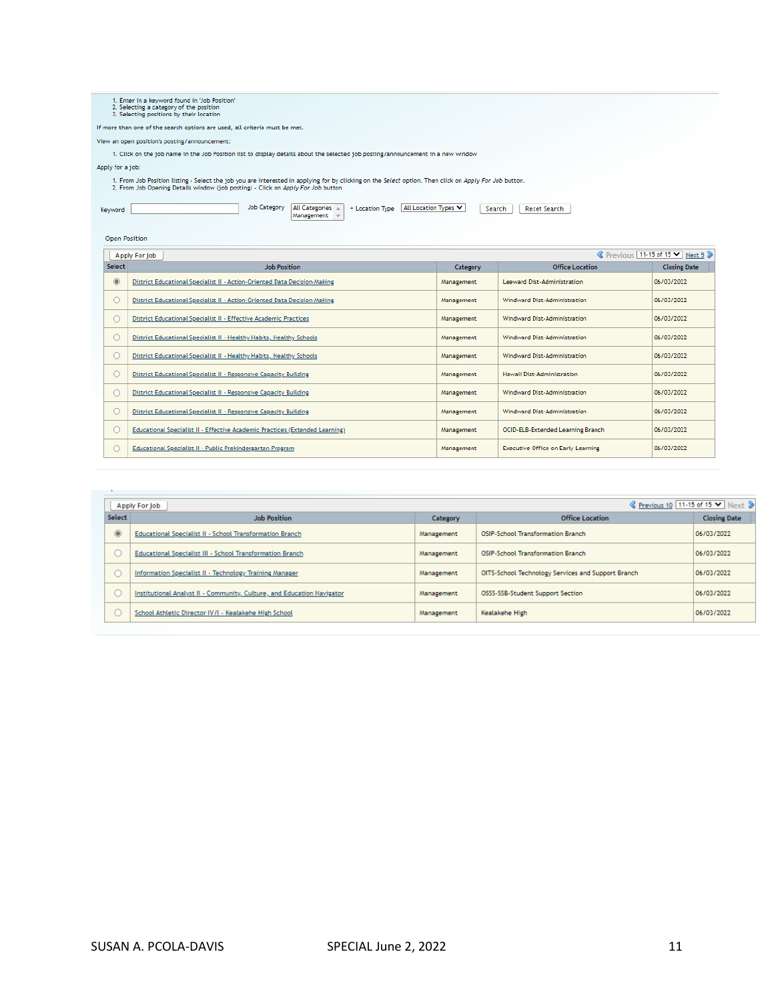1. Enter in a keyword found in 'Job Position'<br>2. Selecting a category of the position<br>3. Selecting positions by their location

If more than one of the search options are used, all criteria must be met.

View an open position's posting/announcement:

1. Click on the job name in the Job Position list to display details about the selected job posting/announcement in a new window

Apply for a job:

Keyword

Open Position

1. From Job Position listing - Select the job you are interested in applying for by clicking on the Select option. Then click on Apply For Job button.<br>2. From Job Opening Details window (job posting) - Click on Apply For J

Job Category  $\boxed{\text{All Categorical } \leftarrow \text{ + location Type}$   $\boxed{\text{All Location Types } \blacktriangleright \text{ } }$  Search Reset Search

| cocación type |  |  |
|---------------|--|--|
|               |  |  |
|               |  |  |

|            | S Previous 11-15 of 15 ▼ Next 5 》<br>Apply For Job                           |            |                                           |                     |  |
|------------|------------------------------------------------------------------------------|------------|-------------------------------------------|---------------------|--|
| Select     | <b>Job Position</b>                                                          | Category   | Office Location                           | <b>Closing Date</b> |  |
| $^{\circ}$ | District Educational Specialist II - Action-Oriented Data Decision-Making    | Management | Leeward Dist-Administration               | 06/03/2022          |  |
|            | District Educational Specialist II - Action-Oriented Data Decision-Making    | Management | Windward Dist-Administration              | 06/03/2022          |  |
|            | District Educational Specialist II - Effective Academic Practices            | Management | Windward Dist-Administration              | 06/03/2022          |  |
|            | District Educational Specialist II - Healthy Habits, Healthy Schools         | Management | Windward Dist-Administration              | 06/03/2022          |  |
|            | District Educational Specialist II - Healthy Habits, Healthy Schools         | Management | Windward Dist-Administration              | 06/03/2022          |  |
|            | District Educational Specialist II - Responsive Capacity Building            | Management | Hawaii Dist-Administration                | 06/03/2022          |  |
|            | District Educational Specialist II - Responsive Capacity Building            | Management | <b>Windward Dist-Administration</b>       | 06/03/2022          |  |
|            | District Educational Specialist II - Responsive Capacity Building            | Management | Windward Dist-Administration              | 06/03/2022          |  |
|            | Educational Specialist II - Effective Academic Practices (Extended Learning) | Management | <b>OCID-ELB-Extended Learning Branch</b>  | 06/03/2022          |  |
|            | Educational Specialist II - Public Prekindergarten Program                   | Management | <b>Executive Office on Early Learning</b> | 06/03/2022          |  |

|               | S Previous 10 11-15 of 15 V Next ><br>Apply For Job                    |            |                                                    |                     |
|---------------|------------------------------------------------------------------------|------------|----------------------------------------------------|---------------------|
| <b>Select</b> | <b>Job Position</b>                                                    | Category   | Office Location                                    | <b>Closing Date</b> |
| $^{\circ}$    | Educational Specialist II - School Transformation Branch               | Management | <b>OSIP-School Transformation Branch</b>           | 06/03/2022          |
|               | Educational Specialist III - School Transformation Branch              | Management | <b>OSIP-School Transformation Branch</b>           | 06/03/2022          |
|               | Information Specialist II - Technology Training Manager                | Management | OITS-School Technology Services and Support Branch | 06/03/2022          |
|               | Institutional Analyst II - Community, Culture, and Education Navigator | Management | OSSS-SSB-Student Support Section                   | 06/03/2022          |
|               | School Athletic Director IV/I - Kealakehe High School                  | Management | Kealakehe High                                     | 06/03/2022          |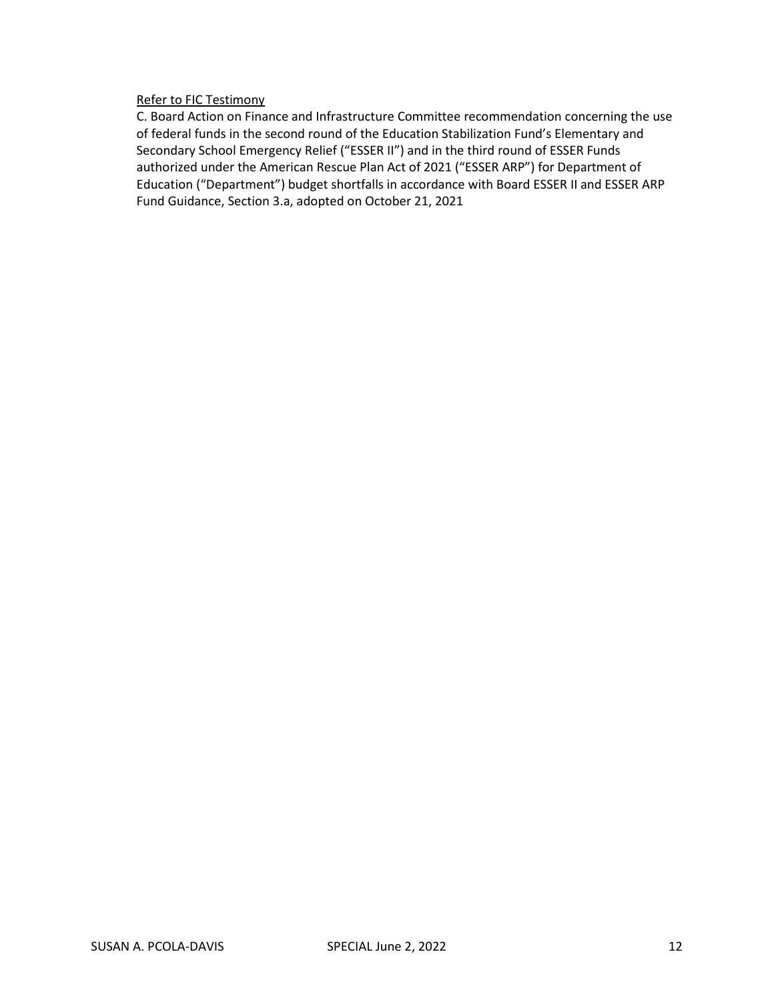#### Refer to FIC Testimony

C. Board Action on Finance and Infrastructure Committee recommendation concerning the use of federal funds in the second round of the Education Stabilization Fund's Elementary and Secondary School Emergency Relief ("ESSER II") and in the third round of ESSER Funds authorized under the American Rescue Plan Act of 2021 ("ESSER ARP") for Department of Education ("Department") budget shortfalls in accordance with Board ESSER II and ESSER ARP Fund Guidance, Section 3.a, adopted on October 21, 2021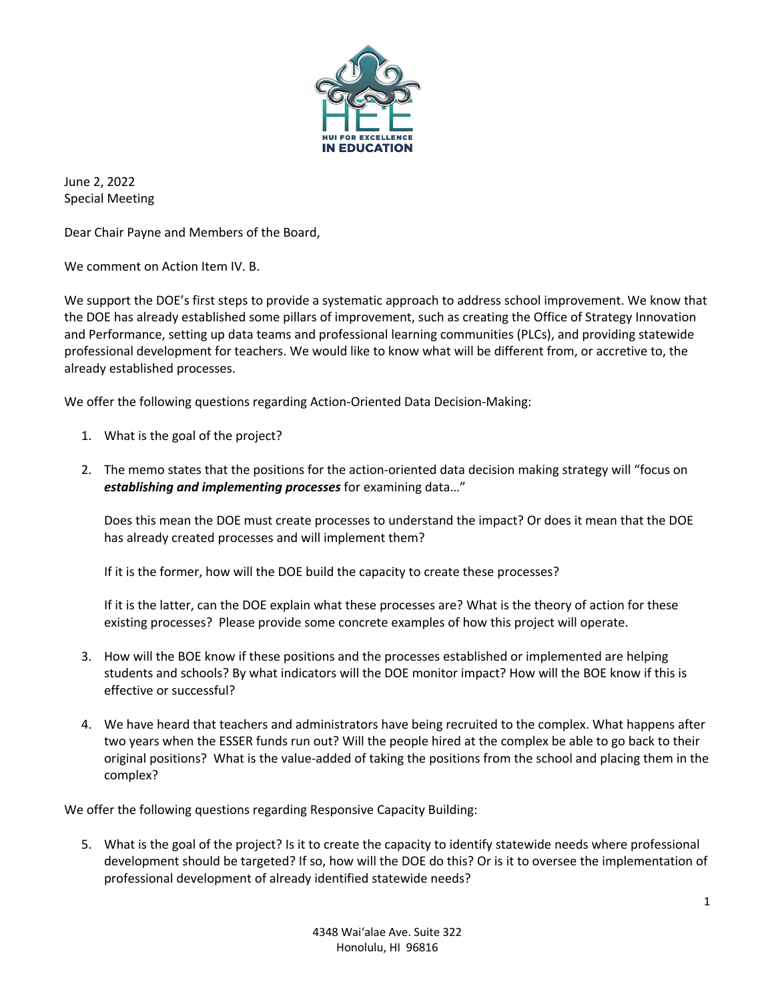

June 2, 2022 Special Meeting

Dear Chair Payne and Members of the Board,

We comment on Action Item IV. B.

We support the DOE's first steps to provide a systematic approach to address school improvement. We know that the DOE has already established some pillars of improvement, such as creating the Office of Strategy Innovation and Performance, setting up data teams and professional learning communities (PLCs), and providing statewide professional development for teachers. We would like to know what will be different from, or accretive to, the already established processes.

We offer the following questions regarding Action-Oriented Data Decision-Making:

- 1. What is the goal of the project?
- 2. The memo states that the positions for the action-oriented data decision making strategy will "focus on *establishing and implementing processes* for examining data…"

Does this mean the DOE must create processes to understand the impact? Or does it mean that the DOE has already created processes and will implement them?

If it is the former, how will the DOE build the capacity to create these processes?

If it is the latter, can the DOE explain what these processes are? What is the theory of action for these existing processes? Please provide some concrete examples of how this project will operate.

- 3. How will the BOE know if these positions and the processes established or implemented are helping students and schools? By what indicators will the DOE monitor impact? How will the BOE know if this is effective or successful?
- 4. We have heard that teachers and administrators have being recruited to the complex. What happens after two years when the ESSER funds run out? Will the people hired at the complex be able to go back to their original positions? What is the value-added of taking the positions from the school and placing them in the complex?

We offer the following questions regarding Responsive Capacity Building:

5. What is the goal of the project? Is it to create the capacity to identify statewide needs where professional development should be targeted? If so, how will the DOE do this? Or is it to oversee the implementation of professional development of already identified statewide needs?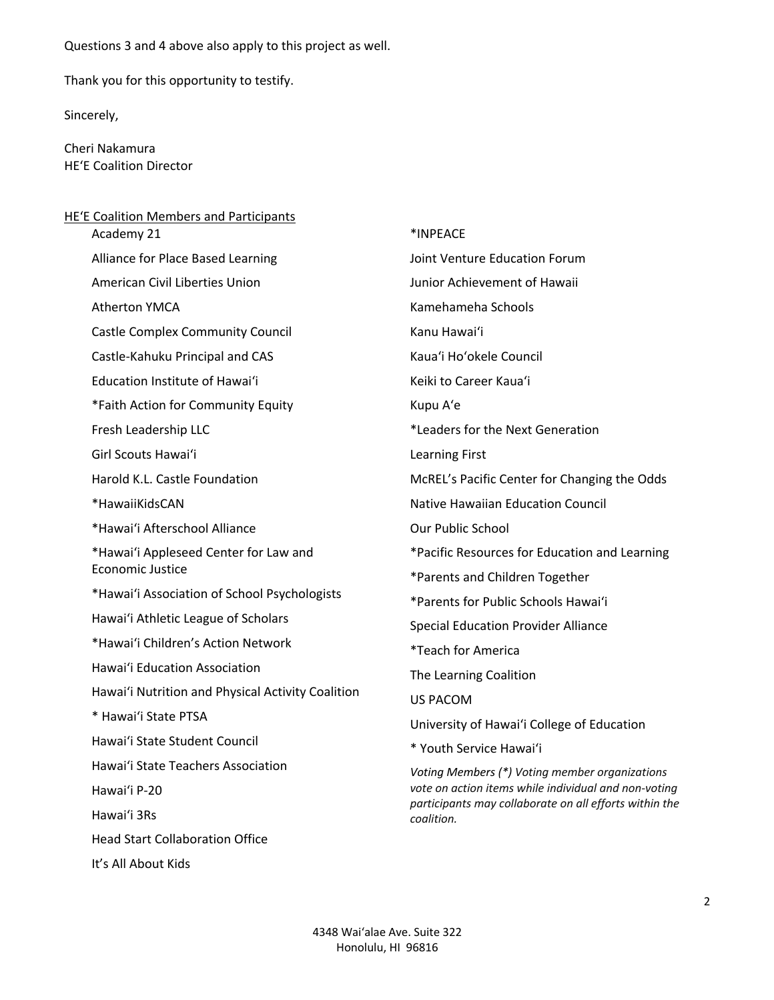Questions 3 and 4 above also apply to this project as well.

Thank you for this opportunity to testify.

Sincerely,

Cheri Nakamura HEʻE Coalition Director

| <b>HE'E Coalition Members and Participants</b>    |                                                                      |
|---------------------------------------------------|----------------------------------------------------------------------|
| Academy 21                                        | *INPEACE                                                             |
| Alliance for Place Based Learning                 | Joint Venture Education Forum                                        |
| American Civil Liberties Union                    | Junior Achievement of Hawaii                                         |
| <b>Atherton YMCA</b>                              | Kamehameha Schools                                                   |
| <b>Castle Complex Community Council</b>           | Kanu Hawai'i                                                         |
| Castle-Kahuku Principal and CAS                   | Kaua'i Ho'okele Council                                              |
| Education Institute of Hawai'i                    | Keiki to Career Kaua'i                                               |
| *Faith Action for Community Equity                | Kupu A'e                                                             |
| Fresh Leadership LLC                              | *Leaders for the Next Generation                                     |
| Girl Scouts Hawai'i                               | <b>Learning First</b>                                                |
| Harold K.L. Castle Foundation                     | McREL's Pacific Center for Changing the Odds                         |
| *HawaiiKidsCAN                                    | <b>Native Hawaiian Education Council</b>                             |
| *Hawai'i Afterschool Alliance                     | <b>Our Public School</b>                                             |
| *Hawai'i Appleseed Center for Law and             | *Pacific Resources for Education and Learning                        |
| Economic Justice                                  | *Parents and Children Together                                       |
| *Hawai'i Association of School Psychologists      | *Parents for Public Schools Hawai'i                                  |
| Hawai'i Athletic League of Scholars               | <b>Special Education Provider Alliance</b>                           |
| *Hawai'i Children's Action Network                | *Teach for America                                                   |
| Hawai'i Education Association                     | The Learning Coalition                                               |
| Hawai'i Nutrition and Physical Activity Coalition | <b>US PACOM</b>                                                      |
| * Hawai'i State PTSA                              | University of Hawai'i College of Education                           |
| Hawai'i State Student Council                     | * Youth Service Hawai'i                                              |
| Hawai'i State Teachers Association                | Voting Members (*) Voting member organizations                       |
| Hawai'i P-20                                      | vote on action items while individual and non-voting                 |
| Hawai'i 3Rs                                       | participants may collaborate on all efforts within the<br>coalition. |
| <b>Head Start Collaboration Office</b>            |                                                                      |
|                                                   |                                                                      |

It's All About Kids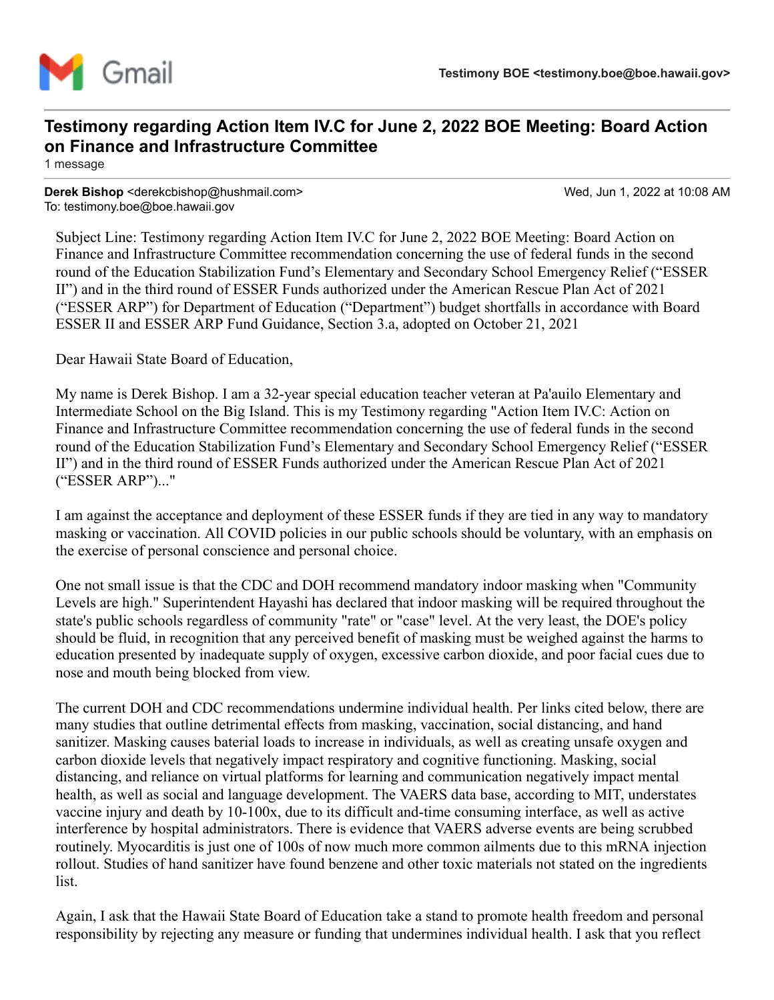

# **Testimony regarding Action Item IV.C for June 2, 2022 BOE Meeting: Board Action on Finance and Infrastructure Committee**

1 message

**Derek Bishop** <derekcbishop@hushmail.com> Wed, Jun 1, 2022 at 10:08 AM To: testimony.boe@boe.hawaii.gov

Subject Line: Testimony regarding Action Item IV.C for June 2, 2022 BOE Meeting: Board Action on Finance and Infrastructure Committee recommendation concerning the use of federal funds in the second round of the Education Stabilization Fund's Elementary and Secondary School Emergency Relief ("ESSER II") and in the third round of ESSER Funds authorized under the American Rescue Plan Act of 2021 ("ESSER ARP") for Department of Education ("Department") budget shortfalls in accordance with Board ESSER II and ESSER ARP Fund Guidance, Section 3.a, adopted on October 21, 2021

Dear Hawaii State Board of Education,

My name is Derek Bishop. I am a 32-year special education teacher veteran at Pa'auilo Elementary and Intermediate School on the Big Island. This is my Testimony regarding "Action Item IV.C: Action on Finance and Infrastructure Committee recommendation concerning the use of federal funds in the second round of the Education Stabilization Fund's Elementary and Secondary School Emergency Relief ("ESSER II") and in the third round of ESSER Funds authorized under the American Rescue Plan Act of 2021 ("ESSER ARP")..."

I am against the acceptance and deployment of these ESSER funds if they are tied in any way to mandatory masking or vaccination. All COVID policies in our public schools should be voluntary, with an emphasis on the exercise of personal conscience and personal choice.

One not small issue is that the CDC and DOH recommend mandatory indoor masking when "Community Levels are high." Superintendent Hayashi has declared that indoor masking will be required throughout the state's public schools regardless of community "rate" or "case" level. At the very least, the DOE's policy should be fluid, in recognition that any perceived benefit of masking must be weighed against the harms to education presented by inadequate supply of oxygen, excessive carbon dioxide, and poor facial cues due to nose and mouth being blocked from view.

The current DOH and CDC recommendations undermine individual health. Per links cited below, there are many studies that outline detrimental effects from masking, vaccination, social distancing, and hand sanitizer. Masking causes baterial loads to increase in individuals, as well as creating unsafe oxygen and carbon dioxide levels that negatively impact respiratory and cognitive functioning. Masking, social distancing, and reliance on virtual platforms for learning and communication negatively impact mental health, as well as social and language development. The VAERS data base, according to MIT, understates vaccine injury and death by 10-100x, due to its difficult and-time consuming interface, as well as active interference by hospital administrators. There is evidence that VAERS adverse events are being scrubbed routinely. Myocarditis is just one of 100s of now much more common ailments due to this mRNA injection rollout. Studies of hand sanitizer have found benzene and other toxic materials not stated on the ingredients list.

Again, I ask that the Hawaii State Board of Education take a stand to promote health freedom and personal responsibility by rejecting any measure or funding that undermines individual health. I ask that you reflect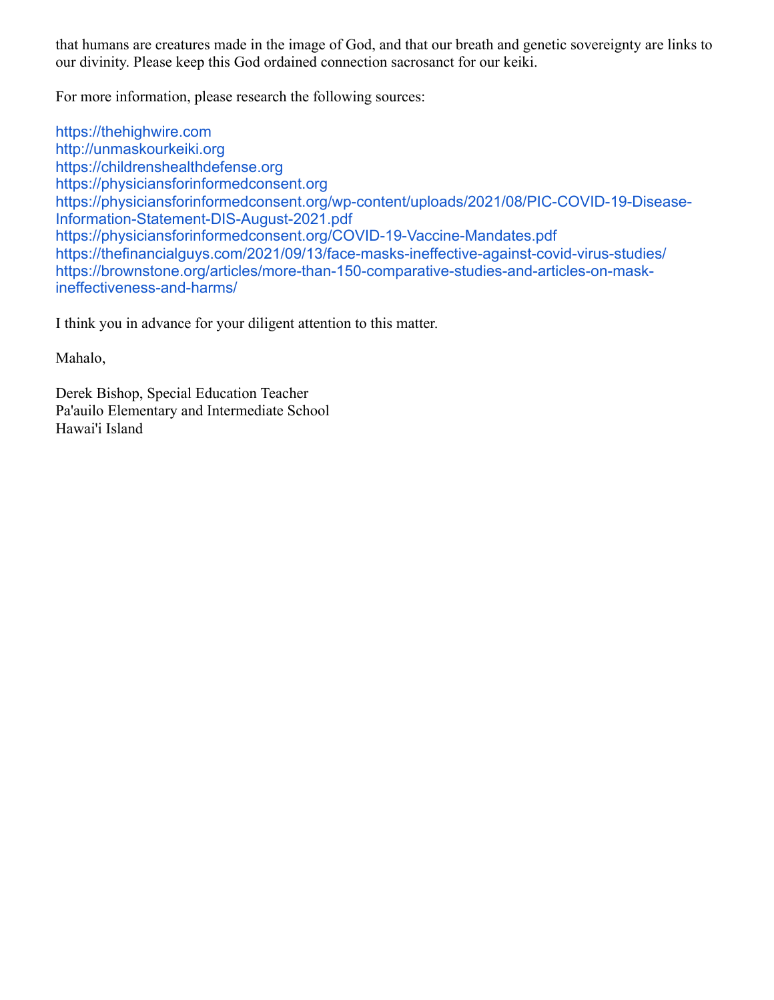that humans are creatures made in the image of God, and that our breath and genetic sovereignty are links to our divinity. Please keep this God ordained connection sacrosanct for our keiki.

For more information, please research the following sources:

[https://thehighwire.com](https://thehighwire.com/) [http://unmaskourkeiki.org](http://unmaskourkeiki.org/) [https://childrenshealthdefense.org](https://childrenshealthdefense.org/) [https://physiciansforinformedconsent.org](https://physiciansforinformedconsent.org/) [https://physiciansforinformedconsent.org/wp-content/uploads/2021/08/PIC-COVID-19-Disease-](https://physiciansforinformedconsent.org/wp-content/uploads/2021/08/PIC-COVID-19-Disease-Information-Statement-DIS-August-2021.pdf)Information-Statement-DIS-August-2021.pdf <https://physiciansforinformedconsent.org/COVID-19-Vaccine-Mandates.pdf> <https://thefinancialguys.com/2021/09/13/face-masks-ineffective-against-covid-virus-studies/> [https://brownstone.org/articles/more-than-150-comparative-studies-and-articles-on-mask](https://brownstone.org/articles/more-than-150-comparative-studies-and-articles-on-mask-ineffectiveness-and-harms/)ineffectiveness-and-harms/

I think you in advance for your diligent attention to this matter.

Mahalo,

Derek Bishop, Special Education Teacher Pa'auilo Elementary and Intermediate School Hawai'i Island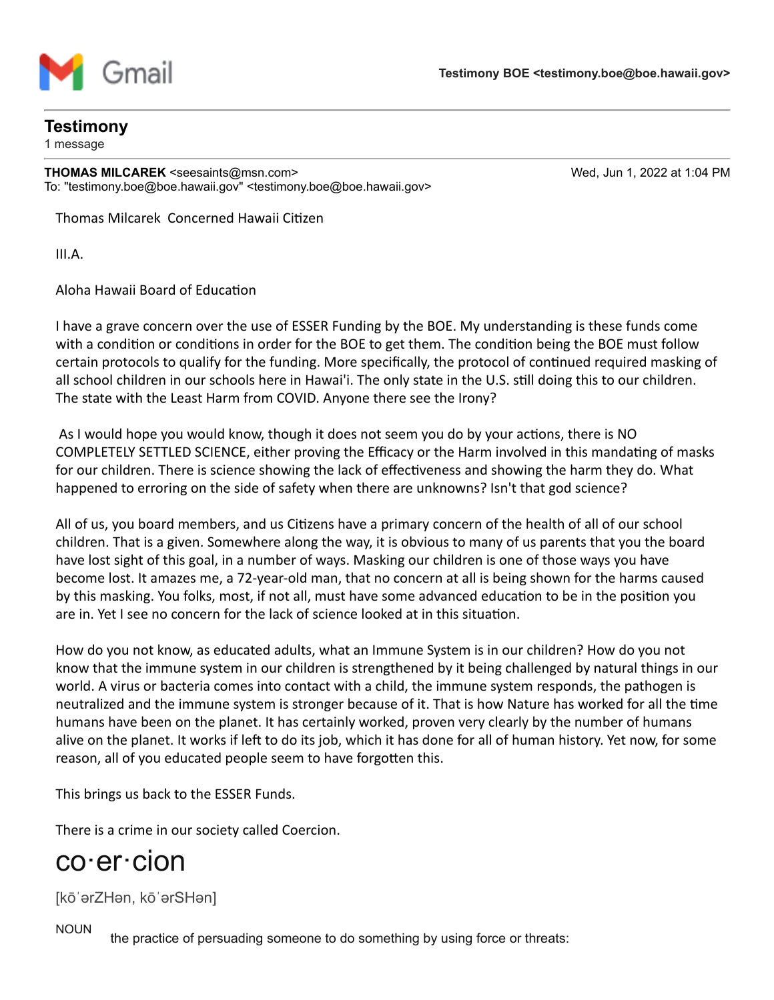

# **Testimony**

1 message

**THOMAS MILCAREK** <seesaints@msn.com> Wed, Jun 1, 2022 at 1:04 PM To: "testimony.boe@boe.hawaii.gov" <testimony.boe@boe.hawaii.gov>

Thomas Milcarek Concerned Hawaii Citizen

III.A.

Aloha Hawaii Board of Education

I have a grave concern over the use of ESSER Funding by the BOE. My understanding is these funds come with a condition or conditions in order for the BOE to get them. The condition being the BOE must follow certain protocols to qualify for the funding. More specifically, the protocol of continued required masking of all school children in our schools here in Hawai'i. The only state in the U.S. still doing this to our children. The state with the Least Harm from COVID. Anyone there see the Irony?

As I would hope you would know, though it does not seem you do by your actions, there is NO COMPLETELY SETTLED SCIENCE, either proving the Efficacy or the Harm involved in this mandating of masks for our children. There is science showing the lack of effectiveness and showing the harm they do. What happened to erroring on the side of safety when there are unknowns? Isn't that god science?

All of us, you board members, and us Citizens have a primary concern of the health of all of our school children. That is a given. Somewhere along the way, it is obvious to many of us parents that you the board have lost sight of this goal, in a number of ways. Masking our children is one of those ways you have become lost. It amazes me, a 72-year-old man, that no concern at all is being shown for the harms caused by this masking. You folks, most, if not all, must have some advanced education to be in the position you are in. Yet I see no concern for the lack of science looked at in this situation.

How do you not know, as educated adults, what an Immune System is in our children? How do you not know that the immune system in our children is strengthened by it being challenged by natural things in our world. A virus or bacteria comes into contact with a child, the immune system responds, the pathogen is neutralized and the immune system is stronger because of it. That is how Nature has worked for all the time humans have been on the planet. It has certainly worked, proven very clearly by the number of humans alive on the planet. It works if left to do its job, which it has done for all of human history. Yet now, for some reason, all of you educated people seem to have forgotten this.

This brings us back to the ESSER Funds.

There is a crime in our society called Coercion.

# co·er·cion

[kōˈərZHən, kōˈərSHən]

NOUN

the practice of persuading someone to do something by using force or threats: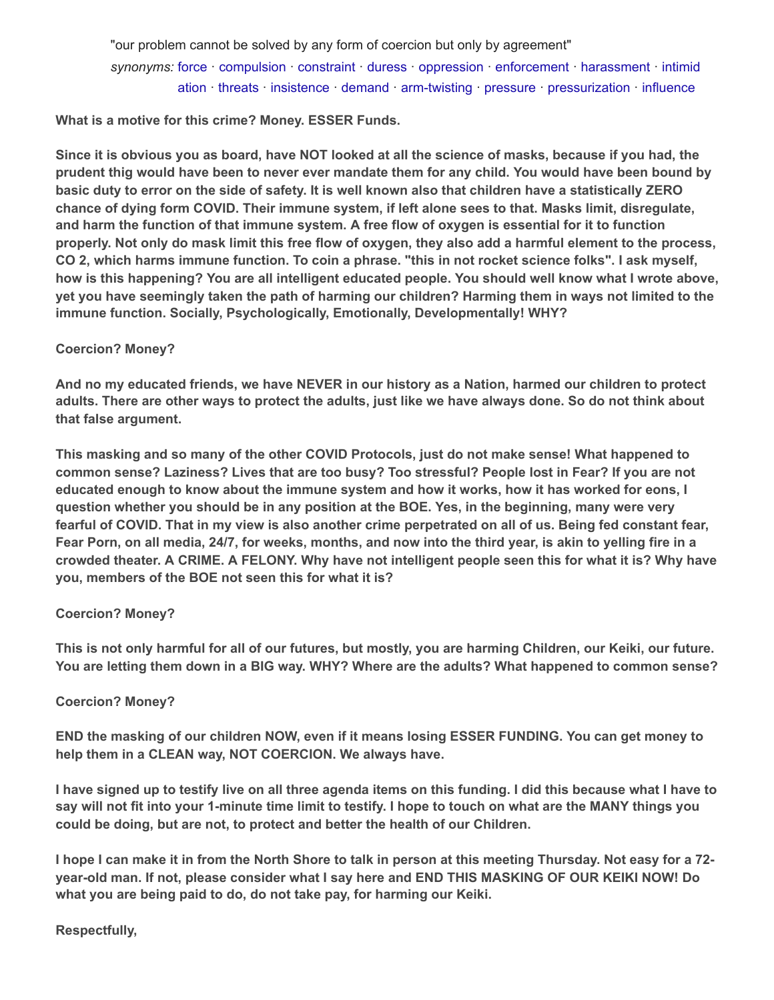"our problem cannot be solved by any form of coercion but only by agreement" *synonyms:* [force](https://www.bing.com/ck/a?!&&p=60e85a2b86f06a2d27b670220f7336ef46a374dfec069e3e70ae15311bc38ccbJmltdHM9MTY1NDEyMTUyOSZpZ3VpZD0xMDA3ZDExOS05NTJmLTQzNmYtOWY1YS0yYWNkOTFjOGRiZmImaW5zaWQ9NTM5Nw&ptn=3&fclid=e10b9115-e1f7-11ec-86d1-eac4f350091d&u=a1L3NlYXJjaD9xPWRlZmluZStmb3JjZSZGT1JNPURDVFJRWQ&ntb=1) · [compulsion](https://www.bing.com/ck/a?!&&p=d32b210a1e5d956878206c33c9d43b25919fa28c9b9d1a4d4819b72baac51115JmltdHM9MTY1NDEyMTUyOSZpZ3VpZD0xMDA3ZDExOS05NTJmLTQzNmYtOWY1YS0yYWNkOTFjOGRiZmImaW5zaWQ9NTM5OA&ptn=3&fclid=e10b935d-e1f7-11ec-982f-f446ab53fa8a&u=a1L3NlYXJjaD9xPWRlZmluZStjb21wdWxzaW9uJkZPUk09RENUUlFZ&ntb=1) · [constraint](https://www.bing.com/ck/a?!&&p=0419d8e061cb86281255a581e94eb6a9483d58043e12444e795582d485de7473JmltdHM9MTY1NDEyMTUyOSZpZ3VpZD0xMDA3ZDExOS05NTJmLTQzNmYtOWY1YS0yYWNkOTFjOGRiZmImaW5zaWQ9NTM5OQ&ptn=3&fclid=e10b950d-e1f7-11ec-920c-f2dd1bcd20de&u=a1L3NlYXJjaD9xPWRlZmluZStjb25zdHJhaW50JkZPUk09RENUUlFZ&ntb=1) · [duress](https://www.bing.com/ck/a?!&&p=75d6785933f46ea2bb7e90f4b44459546cb68105b12a4b2cea1e7c1ea78be7caJmltdHM9MTY1NDEyMTUyOSZpZ3VpZD0xMDA3ZDExOS05NTJmLTQzNmYtOWY1YS0yYWNkOTFjOGRiZmImaW5zaWQ9NTQwMA&ptn=3&fclid=e10b9692-e1f7-11ec-bb73-f7c208146015&u=a1L3NlYXJjaD9xPWRlZmluZStkdXJlc3MmRk9STT1EQ1RSUVk&ntb=1) · [oppression](https://www.bing.com/ck/a?!&&p=4e41dcc1aaaee26710b4927a5f1fcad20ebe371be977d473c22487c732a28652JmltdHM9MTY1NDEyMTUyOSZpZ3VpZD0xMDA3ZDExOS05NTJmLTQzNmYtOWY1YS0yYWNkOTFjOGRiZmImaW5zaWQ9NTQwMQ&ptn=3&fclid=e10b9922-e1f7-11ec-a0ae-8a398cb681a0&u=a1L3NlYXJjaD9xPWRlZmluZStvcHByZXNzaW9uJkZPUk09RENUUlFZ&ntb=1) · [enforcement](https://www.bing.com/ck/a?!&&p=f7fa1eb8c0c819c8dbf7822b2fa9bfc2a6b688a9f8d72c14f599081890df85bcJmltdHM9MTY1NDEyMTUyOSZpZ3VpZD0xMDA3ZDExOS05NTJmLTQzNmYtOWY1YS0yYWNkOTFjOGRiZmImaW5zaWQ9NTQwMg&ptn=3&fclid=e10b9ab0-e1f7-11ec-941b-0bfcb6feeefc&u=a1L3NlYXJjaD9xPWRlZmluZStlbmZvcmNlbWVudCZGT1JNPURDVFJRWQ&ntb=1) · [harassment](https://www.bing.com/ck/a?!&&p=d389389e2b65cc9f05a2ef20464a81ec163a9ccd691ed6b238739e4a5bcb33bfJmltdHM9MTY1NDEyMTUyOSZpZ3VpZD0xMDA3ZDExOS05NTJmLTQzNmYtOWY1YS0yYWNkOTFjOGRiZmImaW5zaWQ9NTQwMw&ptn=3&fclid=e10b9c35-e1f7-11ec-9cbd-fdb4def2a76e&u=a1L3NlYXJjaD9xPWRlZmluZStoYXJhc3NtZW50JkZPUk09RENUUlFZ&ntb=1) · intimid ation · [threats](https://www.bing.com/ck/a?!&&p=b04ec86a779f90e394eb576ee27e528569dbf8adfb8ae357d064f16c5095cc35JmltdHM9MTY1NDEyMTUyOSZpZ3VpZD0xMDA3ZDExOS05NTJmLTQzNmYtOWY1YS0yYWNkOTFjOGRiZmImaW5zaWQ9NTQwNQ&ptn=3&fclid=e10b9f0d-e1f7-11ec-881e-2549d1e2270f&u=a1L3NlYXJjaD9xPWRlZmluZSt0aHJlYXRzJkZPUk09RENUUlFZ&ntb=1) · [insistence](https://www.bing.com/ck/a?!&&p=6733c57c5e0f7d141fe5020cbe771203d8b64fe303742a40dba62c792067a58cJmltdHM9MTY1NDEyMTUyOSZpZ3VpZD0xMDA3ZDExOS05NTJmLTQzNmYtOWY1YS0yYWNkOTFjOGRiZmImaW5zaWQ9NTQwNg&ptn=3&fclid=e10ba07d-e1f7-11ec-a073-2c46fc1107c7&u=a1L3NlYXJjaD9xPWRlZmluZStpbnNpc3RlbmNlJkZPUk09RENUUlFZ&ntb=1) · [demand](https://www.bing.com/ck/a?!&&p=706059a9436af65af5193bacbf4517009cf611db8c23b06dc325d050ab46acb2JmltdHM9MTY1NDEyMTUyOSZpZ3VpZD0xMDA3ZDExOS05NTJmLTQzNmYtOWY1YS0yYWNkOTFjOGRiZmImaW5zaWQ9NTQwNw&ptn=3&fclid=e10ba1fb-e1f7-11ec-ba70-17719ac1ad2e&u=a1L3NlYXJjaD9xPWRlZmluZStkZW1hbmQmRk9STT1EQ1RSUVk&ntb=1) · [arm-twisting](https://www.bing.com/ck/a?!&&p=410614142bcf1e9831bd26151244f175ba4d0334c7ce5c08c2fb1614063500ddJmltdHM9MTY1NDEyMTUyOSZpZ3VpZD0xMDA3ZDExOS05NTJmLTQzNmYtOWY1YS0yYWNkOTFjOGRiZmImaW5zaWQ9NTQwOA&ptn=3&fclid=e10ba36b-e1f7-11ec-9451-b5202e256ec7&u=a1L3NlYXJjaD9xPWRlZmluZSthcm0tdHdpc3RpbmcmRk9STT1EQ1RSUVk&ntb=1) · [pressure](https://www.bing.com/ck/a?!&&p=427bb5643e2ab3a28b54560254715260f41b346b1de0e690b64a89dbcd6efb66JmltdHM9MTY1NDEyMTUyOSZpZ3VpZD0xMDA3ZDExOS05NTJmLTQzNmYtOWY1YS0yYWNkOTFjOGRiZmImaW5zaWQ9NTQwOQ&ptn=3&fclid=e10ba4d4-e1f7-11ec-9e6e-952affa1b6f9&u=a1L3NlYXJjaD9xPWRlZmluZStwcmVzc3VyZSZGT1JNPURDVFJRWQ&ntb=1) · [pressurization](https://www.bing.com/ck/a?!&&p=86729dd5a1da346e96a1c26b3674048d20928d23483cff77d7ef92d3f787d6f0JmltdHM9MTY1NDEyMTUyOSZpZ3VpZD0xMDA3ZDExOS05NTJmLTQzNmYtOWY1YS0yYWNkOTFjOGRiZmImaW5zaWQ9NTQwNA&ptn=3&fclid=e10b9da1-e1f7-11ec-8680-19163afd4045&u=a1L3NlYXJjaD9xPWRlZmluZStpbnRpbWlkYXRpb24mRk9STT1EQ1RSUVk&ntb=1) · [influence](https://www.bing.com/ck/a?!&&p=b324fa88a93f58550e8b9791dfd156ec2f75055afc1a200d7396f73de6fcc1cbJmltdHM9MTY1NDEyMTUyOSZpZ3VpZD0xMDA3ZDExOS05NTJmLTQzNmYtOWY1YS0yYWNkOTFjOGRiZmImaW5zaWQ9NTQxMQ&ptn=3&fclid=e10ba7af-e1f7-11ec-a685-be815fc5ea07&u=a1L3NlYXJjaD9xPWRlZmluZStpbmZsdWVuY2UmRk9STT1EQ1RSUVk&ntb=1)

**What is a motive for this crime? Money. ESSER Funds.**

**Since it is obvious you as board, have NOT looked at all the science of masks, because if you had, the prudent thig would have been to never ever mandate them for any child. You would have been bound by basic duty to error on the side of safety. It is well known also that children have a statistically ZERO chance of dying form COVID. Their immune system, if left alone sees to that. Masks limit, disregulate, and harm the function of that immune system. A free flow of oxygen is essential for it to function properly. Not only do mask limit this free flow of oxygen, they also add a harmful element to the process, CO 2, which harms immune function. To coin a phrase. "this in not rocket science folks". I ask myself, how is this happening? You are all intelligent educated people. You should well know what I wrote above, yet you have seemingly taken the path of harming our children? Harming them in ways not limited to the immune function. Socially, Psychologically, Emotionally, Developmentally! WHY?**

# **Coercion? Money?**

**And no my educated friends, we have NEVER in our history as a Nation, harmed our children to protect adults. There are other ways to protect the adults, just like we have always done. So do not think about that false argument.**

**This masking and so many of the other COVID Protocols, just do not make sense! What happened to common sense? Laziness? Lives that are too busy? Too stressful? People lost in Fear? If you are not educated enough to know about the immune system and how it works, how it has worked for eons, I question whether you should be in any position at the BOE. Yes, in the beginning, many were very fearful of COVID. That in my view is also another crime perpetrated on all of us. Being fed constant fear, Fear Porn, on all media, 24/7, for weeks, months, and now into the third year, is akin to yelling fire in a crowded theater. A CRIME. A FELONY. Why have not intelligent people seen this for what it is? Why have you, members of the BOE not seen this for what it is?**

# **Coercion? Money?**

**This is not only harmful for all of our futures, but mostly, you are harming Children, our Keiki, our future. You are letting them down in a BIG way. WHY? Where are the adults? What happened to common sense?**

# **Coercion? Money?**

**END the masking of our children NOW, even if it means losing ESSER FUNDING. You can get money to help them in a CLEAN way, NOT COERCION. We always have.**

**I have signed up to testify live on all three agenda items on this funding. I did this because what I have to say will not fit into your 1-minute time limit to testify. I hope to touch on what are the MANY things you could be doing, but are not, to protect and better the health of our Children.**

**I hope I can make it in from the North Shore to talk in person at this meeting Thursday. Not easy for a 72 year-old man. If not, please consider what I say here and END THIS MASKING OF OUR KEIKI NOW! Do what you are being paid to do, do not take pay, for harming our Keiki.**

# **Respectfully,**